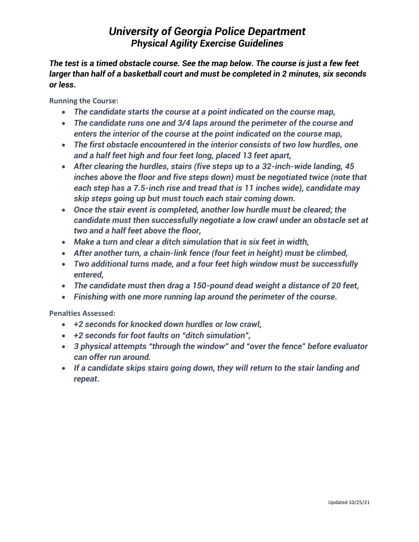## *University of Georgia Police Department Physical Agility Exercise Guidelines*

*The test is a timed obstacle course. See the map below. The course is just a few feet larger than half of a basketball court and must be completed in 2 minutes, six seconds or less.* 

**Running the Course:**

- *The candidate starts the course at a point indicated on the course map,*
- *The candidate runs one and 3/4 laps around the perimeter of the course and enters the interior of the course at the point indicated on the course map,*
- *The first obstacle encountered in the interior consists of two low hurdles, one and a half feet high and four feet long, placed 13 feet apart,*
- *After clearing the hurdles, stairs (five steps up to a 32-inch-wide landing, 45 inches above the floor and five steps down) must be negotiated twice (note that each step has a 7.5-inch rise and tread that is 11 inches wide), candidate may skip steps going up but must touch each stair coming down.*
- *Once the stair event is completed, another low hurdle must be cleared; the candidate must then successfully negotiate a low crawl under an obstacle set at two and a half feet above the floor,*
- *Make a turn and clear a ditch simulation that is six feet in width,*
- *After another turn, a chain-link fence (four feet in height) must be climbed,*
- *Two additional turns made, and a four feet high window must be successfully entered,*
- *The candidate must then drag a 150-pound dead weight a distance of 20 feet,*
- *Finishing with one more running lap around the perimeter of the course.*

**Penalties Assessed:**

- *+2 seconds for knocked down hurdles or low crawl,*
- *+2 seconds for foot faults on "ditch simulation",*
- *3 physical attempts "through the window" and "over the fence" before evaluator can offer run around.*
- *If a candidate skips stairs going down, they will return to the stair landing and repeat.*